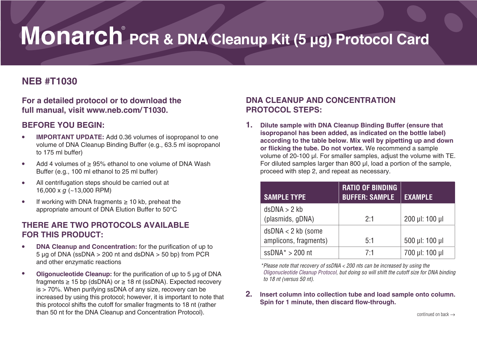# **Monarch**®  **PCR & DNA Cleanup Kit (5 μg) Protocol Card**

## **NEB #T1030**

**For a detailed protocol or to download the full manual, visit www.neb.com/ T1030.**

## **BEFORE YOU BEGIN:**

- **IMPORTANT UPDATE:** Add 0.36 volumes of isopropanol to one volume of DNA Cleanup Binding Buffer (e.g., 63.5 ml isopropanol to 175 ml buffer)
- Add 4 volumes of ≥ 95% ethanol to one volume of DNA Wash Buffer (e.g., 100 ml ethanol to 25 ml buffer)
- All centrifugation steps should be carried out at 16,000 x *g* (~13,000 RPM)
- If working with DNA fragments ≥ 10 kb, preheat the appropriate amount of DNA Elution Buffer to 50°C

## **THERE ARE TWO PROTOCOLS AVAILABLE FOR THIS PRODUCT:**

- **DNA Cleanup and Concentration:** for the purification of up to  $5 \mu$ g of DNA (ssDNA > 200 nt and dsDNA > 50 bp) from PCR and other enzymatic reactions
- **Oligonucleotide Cleanup:** for the purification of up to 5 μg of DNA fragments  $\geq$  15 bp (dsDNA) or  $\geq$  18 nt (ssDNA). Expected recovery is > 70%. When purifying ssDNA of any size, recovery can be increased by using this protocol; however, it is important to note that this protocol shifts the cutoff for smaller fragments to 18 nt (rather than 50 nt for the DNA Cleanup and Concentration Protocol).

## **DNA CLEANUP AND CONCENTRATION PROTOCOL STEPS:**

**1. Dilute sample with DNA Cleanup Binding Buffer (ensure that isopropanol has been added, as indicated on the bottle label) according to the table below. Mix well by pipetting up and down or flicking the tube. Do not vortex.** We recommend a sample volume of 20-100 μl. For smaller samples, adjust the volume with TE. For diluted samples larger than 800 μl, load a portion of the sample, proceed with step 2, and repeat as necessary.

| <b>SAMPLE TYPE</b>                            | <b>RATIO OF BINDING</b><br><b>BUFFER: SAMPLE</b> | <b>EXAMPLE</b>     |
|-----------------------------------------------|--------------------------------------------------|--------------------|
| dsDNA > 2 kb<br>(plasmids, gDNA)              | 2:1                                              | $200$ µl: $100$ µl |
| $dsDNA < 2 kb$ (some<br>amplicons, fragments) | 5:1                                              | 500 µl: 100 µl     |
| $ssDNA* > 200$ nt                             | 7.1                                              | 700 µl: 100 µl     |

*\*Please note that recovery of ssDNA < 200 nts can be increased by using the Oligonucleotide Cleanup Protocol, but doing so will shift the cutoff size for DNA binding to 18 nt (versus 50 nt).*

**2. Insert column into collection tube and load sample onto column. Spin for 1 minute, then discard flow-through.**